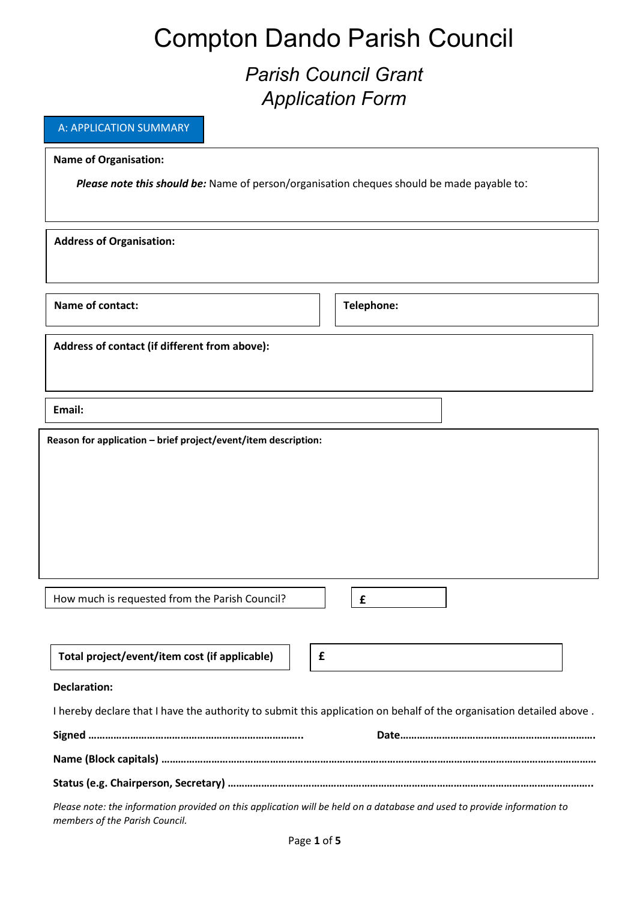# Compton Dando Parish Council

## *Parish Council Grant Application Form*

|                                                                                                                         | Application Form                                                                                                    |
|-------------------------------------------------------------------------------------------------------------------------|---------------------------------------------------------------------------------------------------------------------|
| A: APPLICATION SUMMARY                                                                                                  |                                                                                                                     |
| <b>Name of Organisation:</b>                                                                                            |                                                                                                                     |
| Please note this should be: Name of person/organisation cheques should be made payable to:                              |                                                                                                                     |
|                                                                                                                         |                                                                                                                     |
| <b>Address of Organisation:</b>                                                                                         |                                                                                                                     |
| Name of contact:                                                                                                        | Telephone:                                                                                                          |
| Address of contact (if different from above):                                                                           |                                                                                                                     |
|                                                                                                                         |                                                                                                                     |
| Email:                                                                                                                  |                                                                                                                     |
| Reason for application - brief project/event/item description:                                                          |                                                                                                                     |
|                                                                                                                         |                                                                                                                     |
|                                                                                                                         |                                                                                                                     |
|                                                                                                                         |                                                                                                                     |
|                                                                                                                         |                                                                                                                     |
|                                                                                                                         |                                                                                                                     |
|                                                                                                                         |                                                                                                                     |
| How much is requested from the Parish Council?                                                                          | £                                                                                                                   |
|                                                                                                                         |                                                                                                                     |
| Total project/event/item cost (if applicable)                                                                           | £                                                                                                                   |
| <b>Declaration:</b>                                                                                                     |                                                                                                                     |
|                                                                                                                         | I hereby declare that I have the authority to submit this application on behalf of the organisation detailed above. |
|                                                                                                                         |                                                                                                                     |
|                                                                                                                         |                                                                                                                     |
|                                                                                                                         |                                                                                                                     |
| Please note: the information provided on this application will be held on a database and used to provide information to |                                                                                                                     |

Page **1** of **5**

*members of the Parish Council.*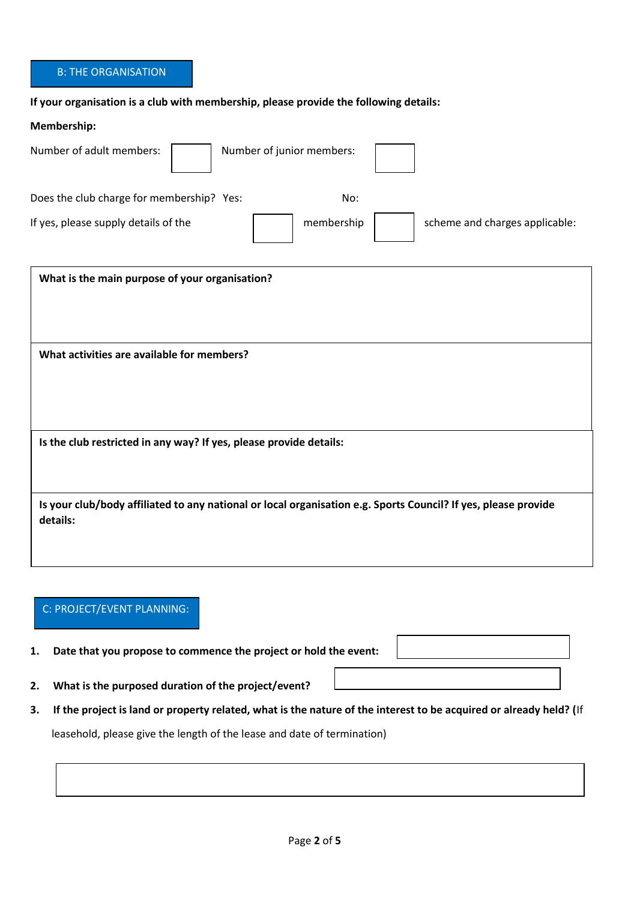#### B: THE ORGANISATION

#### **If your organisation is a club with membership, please provide the following details:**

#### **Membership:**

| Number of adult members:<br>Number of junior members:                                                                      |                                |
|----------------------------------------------------------------------------------------------------------------------------|--------------------------------|
| Does the club charge for membership? Yes:<br>No:                                                                           |                                |
| If yes, please supply details of the<br>membership                                                                         | scheme and charges applicable: |
| What is the main purpose of your organisation?                                                                             |                                |
| What activities are available for members?                                                                                 |                                |
| Is the club restricted in any way? If yes, please provide details:                                                         |                                |
| Is your club/body affiliated to any national or local organisation e.g. Sports Council? If yes, please provide<br>details: |                                |

#### C: PROJECT/EVENT PLANNING:

- **1. Date that you propose to commence the project or hold the event:**
- **2. What is the purposed duration of the project/event?**
- **3. If the project is land or property related, what is the nature of the interest to be acquired or already held? (**If leasehold, please give the length of the lease and date of termination)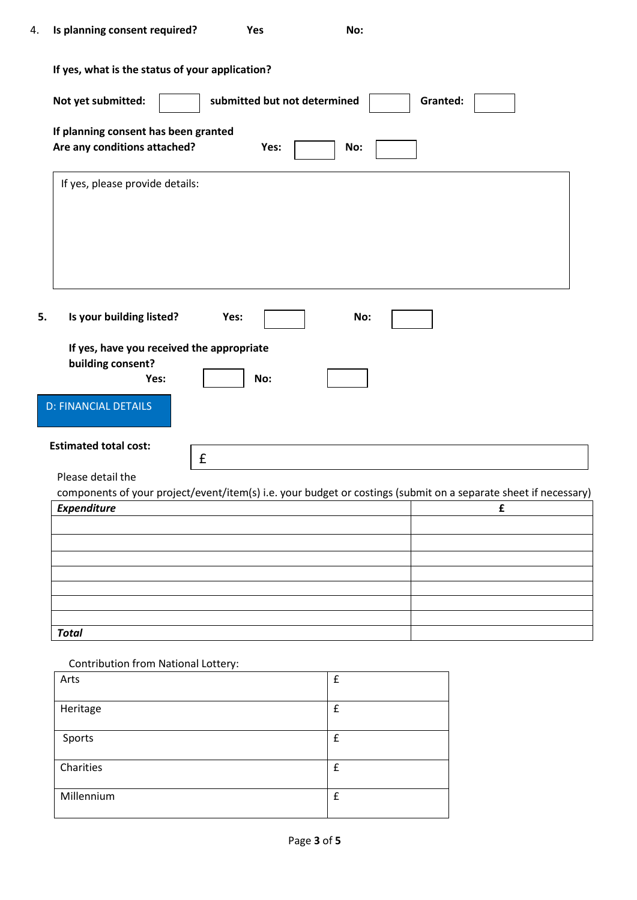| 4. | Is planning consent required? | <b>Yes</b> | No: |
|----|-------------------------------|------------|-----|
|    |                               |            |     |

| If yes, what is the status of your application?                                                          |                                                                                                                 |
|----------------------------------------------------------------------------------------------------------|-----------------------------------------------------------------------------------------------------------------|
| Not yet submitted:                                                                                       | submitted but not determined<br>Granted:                                                                        |
| If planning consent has been granted<br>Are any conditions attached?                                     | Yes:<br>No:                                                                                                     |
| If yes, please provide details:                                                                          |                                                                                                                 |
| 5.<br>Is your building listed?<br>If yes, have you received the appropriate<br>building consent?<br>Yes: | Yes:<br>No:<br>No:                                                                                              |
| <b>D: FINANCIAL DETAILS</b>                                                                              |                                                                                                                 |
| <b>Estimated total cost:</b><br>£                                                                        |                                                                                                                 |
| Please detail the                                                                                        | components of your project/event/item(s) i.e. your budget or costings (submit on a separate sheet if necessary) |
| Expenditure                                                                                              | £                                                                                                               |
|                                                                                                          |                                                                                                                 |
|                                                                                                          |                                                                                                                 |
|                                                                                                          |                                                                                                                 |
|                                                                                                          |                                                                                                                 |
|                                                                                                          |                                                                                                                 |
| <b>Total</b>                                                                                             |                                                                                                                 |
| <b>Contribution from National Lottery:</b>                                                               |                                                                                                                 |

| Arts       | £ |
|------------|---|
| Heritage   | £ |
| Sports     | £ |
| Charities  | £ |
| Millennium | £ |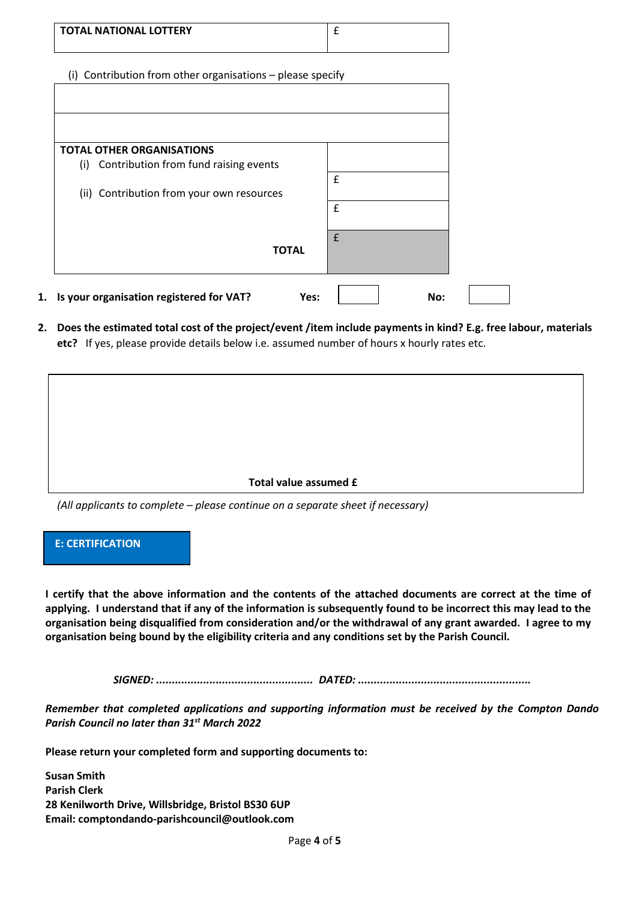| <b>TOTAL NATIONAL LOTTERY</b> |  |
|-------------------------------|--|
|                               |  |

(i) Contribution from other organisations – please specify

| <b>TOTAL OTHER ORGANISATIONS</b>          |   |
|-------------------------------------------|---|
| (i) Contribution from fund raising events |   |
|                                           | £ |
| (ii) Contribution from your own resources |   |
|                                           | £ |
|                                           |   |
|                                           | £ |
| <b>TOTAL</b>                              |   |

**2. Does the estimated total cost of the project/event /item include payments in kind? E.g. free labour, materials etc?** If yes, please provide details below i.e. assumed number of hours x hourly rates etc.



*(All applicants to complete – please continue on a separate sheet if necessary)*



**I certify that the above information and the contents of the attached documents are correct at the time of applying. I understand that if any of the information is subsequently found to be incorrect this may lead to the organisation being disqualified from consideration and/or the withdrawal of any grant awarded. I agree to my organisation being bound by the eligibility criteria and any conditions set by the Parish Council.**

*SIGNED: .................................................. DATED: .......................................................*

*Remember that completed applications and supporting information must be received by the Compton Dando Parish Council no later than 31st March 2022*

**Please return your completed form and supporting documents to:**

**Susan Smith Parish Clerk 28 Kenilworth Drive, Willsbridge, Bristol BS30 6UP Email: comptondando-parishcouncil@outlook.com**